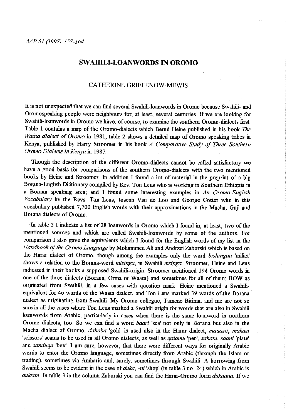## **SW AHILI-LOANWORDS IN OROMO**

#### CATHERINE GRIEFENOW-MEWIS

It is not unexpected that we can find several Swahili-loanwords in Otomo because Swahili- and Oromospeaking people were neighbours for, at least, several centuries. If we are looking for Swahili-loanwords in Oromo we have, of course, to examine the southern Oromo-dialects first. Table 1 contains a map of the Otomo-dialects which Bemd Heine published in his book *The Waata dialect of Oromo* in 1981; table 2 shows a detailed map of Otomo speaking tribes in Kenya, published by Harry Stroomer in his book *A Comparative Study of Three Southem Oromo Dialects in Kenya* in 1987.

Though the description of the different Oromo-dialects cannot be called satisfactory we have a good basis for comparisons of the southem Otomo-dialects with the two mentioned books by Heine and Stroomer. In addition I found a lot of material in the preprint of a big Borana-English Dictionary compiled by Rev. Ton Leus who is working in Southem Ethiopia in a Borana speaking area; and I found some interesting examples in *An Oromo-English Vocabulary* by the Revs. Ton Leus, Joseph Van de Loo and George Cotter who in this vocabulary published 7, 700 English words with their approximations in the Macha, Guji and Borana dialects of Oromo.

In table 3 I indicate a list of 28 loanwords in Oromo which I found in, at least, two of the **mentioned sources and which are called s,vahili-loan\vords by some of the authors. For**  comparison I also gave the equivalents which I found for the English words of my list in the Handbook of the Oromo Language by Mohammed Ali and Andrzej Zaborski which is based on the Harar dialect of Otomo, though among the examples only the word *bishingaa* 'millet' shows a relation to the Borana-word *misinga,* in Swahili *msinga.* Stroomer, Heine and Leus indicated in their books a supposed Swahili-origin. Stroomer mentioned 194 Oromo words in one ofthe three dialects (Borana, Orma or Waata) and sometimes for all of them: BOW as originated from Swahili, in a few cases with question mark. Heine mentioned a Swahiliequivalent for 46 words of the Waata dialect, and Ton Lens marked 39 words of the Borana dialect as originating from Swahili My Oromo collegue, Tamene Bitima, and me are not so sure in all the cases where Ton Leus marked a Swahili origin for words that are also in Swahili loanwords from Arabic, particularly in cases when there is the same loanword in northern Oromo dialects, too .. So we can find a word *baari* 'sea' not only in Borana but also in the Macha dialect of Otomo, *dahaba* 'gold' is used also in the Harar dialect, *maqasii, makasi*  'scissors' seams to be used in all Otomo dialects, as well as *qalamu* 'pen', *sahani, saani* 'plate' and *sanduqa* 'box'. I am sure, however, that there were different ways for originally Arabic words to enter the Otomo language, sometimes directly from Arabic (through the Islam or trading), sometimes via Amharic and, surely, sometimes through Swahili. A borrowing from Swahili seems to be evident in the case of *duka*, *-ni* 'shop' (in table 3 no 24) which in Arabic is *dukkan.* In table 3 in the colunm Zaborski you can find the Harar-Oromo form *dukaana ..* If we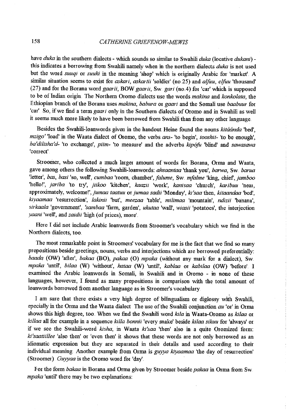have *duka* in the southem dialects - which sounds so similar to Swahili *duka* (locative *dukani)*  this indicates a borrowing from Swahili namely when in the northern dialects *duka* is not used but the word *suuqi* or *suuki* in the meaning 'shop' which is originally Arabic for 'market'. A similar situation seems to exist for *askari, askartii* 'soldier' (no.25) and *alfuu, elfuu* 'thousand' (27) and for the Borana word *gaarii*, BOW *gaarii*, Sw. *gari* (no.4) for 'car' which is supposed to be of Indian 01igin. The N01them Oromo dialects use the words *makina* and *konkolata,* the Ethiopian branch of the B01ana uses *makina, babura* 01 *gaari* and the Somali use *baabuur* f01 'car' So, if we find a term *gaari* only in the Southem dialects of Oromo and in Swahili as well it seems much more likely to have been borrowed from Swahili than from any other language.

Besides the Swahili-loanwords given in the handout Heine found the nouns *kitáanda* 'bed', *mzigo'* 'load' in the Waata dialect of Oromo, the verbs *ans*- 'to begin', *tooshit*- 'to be enough', *ba'dilisha'd-* 'to exchange', *piim-* 'to measure' and the adverbs *kip6fo* 'blind' and *sawasawa*  'c01rect'

Stroomer, who collected a much larger amount of words for Borana, Otma and Waata, gave among others the following Swahili-loanwords: *ahsaantaa* 'thank you', *barwa,* Sw. *barua*  'letter', *bru, basi* 'so, well', *cumbaa* 'room, *chamber",falume,* Sw. *mfalme* 'king, *chief,jamboo*  'hello!', *jariba* 'to try', *jiikoo* 'kitchen', *kaazil* 'work', *kanisaa* 'church', *karibuu* 'near, approximately, *welcome!',jumaa taatuu orjumaa sadii* 'Monday', *ki'saa* then, *kitaandaa* 'bed', *kiyaamaa* 'resmrection', *lakinii* 'but', *meezaa* 'table', *milimaa* 'mountain', *ndizii* 'banana', *sirkaala* 'government', *'sambaa* 'farm, garden', *ukutaa* 'wall', *wiasii* 'potatoes', the interjection *yaani* 'well', and *zaidii* 'high (of prices), more'.

Here I did not include Arabic loanwords from Stroomer's vocabulary which we find in the Northern dialects, too.

The most remarkable point in Stroomers' vocabulary for me is the fact that we find so many prepositions beside greetings, nouns, verbs and interjections which are borrowed preferentially: *baada* (OW) 'after', *bakaa* (BO), *pakaa* (0) *mpaka* (without any mark for a dialect), Sw *mpaka* 'until', *bilaa* (W) 'without', *hataa* (W) 'until', *kablaa* or *kabilaa* (OW) 'before' .. <sup>I</sup> examined the Arabic loanwords in Somali, in Swahili and in Oromo - in none of these languages, however, I found as many prepositions in comparison with the total amount of loanwords borrowed from another language as in Stroomer's vocabulary.

I am sure that there exists a very high degree of bilingualism or diglossy with Swahili, epecially in the Otma and the Waata dialect The use of the Swahili conjunction *au* 'or' in Orma shows this high degree, too. When we find the Swahili w01d *kila* in Waata-Otomo as *kilaa* 01 *killaa* all f01 example in a sequence *killa bonnii* 'every snake' beside *kilaa sikuu* for 'always' m if we see the Swahili-word *kisha*, in Waata *ki'saa* 'then' also in a quite Oromized form: ki'saatiillee 'also then' or 'even then' it shows that these words are not only borrowed as an idiomatic expression but they are separated in their details and used according to their individual meaning. Another example from Orma is *guyya kiyaamaa* 'the day of resurrection' (Stroomer). *Guyyaa* is the Oromo word for 'day'.

For the form *bakaa* in Borana and Orma given by Stroomer beside *pakaa* in Orma from Sw. *mpaka* 'until' there may be two explanations: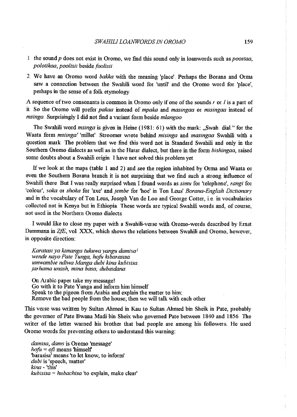- 1 the sound *p* does not exist in Oromo, we find this sound only in loanwords such as *poostaa*, *polotikaa, poolisii besidefoolisii*
- 2. We have an Oromo word *bakka* with the meaning 'place'. Perhaps the Borana and Orma saw a connection between the Swahili word for 'until' and the Oromo word for 'place', perhaps in the sense of a folk etymology

A sequence of two consonants is common in Oromo only if one of the sounds  $r$  or  $l$  is a part of it So the Oromo will prefer *pakaa* instead of *mpaka* and *masingaa* or *misingaa* instead of *msinga.* Surprisingly I did not find a variant form beside *mlangoo.* 

The Swahili word *msinga* is given in Heine ( 1981: 61) with the mark: ,Swah. dial" for the Waata form *msiinga'* 'millet'. Stroomer wrote behind *misinga* and *masingaa* Swahili with a question mark The problem that we find this word not in Standard Swahili and only in the Southern Oromo dialects as well as in the Harar dialect, but there in the form *bishingaa,* raised some doubts about a Swahili origin I have not solved this problem yet.

If we look at the maps (table 1 and 2) and see the region inhabited by Orma and Waata or even the Southern Borana branch it is not surprising that we find such a strong influence of Swahili there But I was really surprised when I found words as *simu* for 'telephone', *rangi* for 'colour', *soka* or *shoka* for 'axe' and *jembe* for 'hoe' in Ton Leus' *Borana-English Dictionary* and in the vocabulary of Ton Leus, Joseph Van de Loo and George Cotter, i.e. in vocabularies collected not in Kenya but in Ethiopia. These words are typical Swahili words and, of course, not used in the Northern Oromo dialects.

I would like to close my paper with a Swahili-verse with Oromo-words described by Ernst Dammann in  $ZfE$ , vol. XXX, which shows the relations between Swahili and Oromo, however, in opposite direction:

*Karatasi ya kimanga tukuwa yangu damisal wende nayo Pate Yunga, hofo kibarasisa. umwambie ndiwa Manga dubi kina kubisisa jarhama unash, mina basa, dubaidana.* 

On Arabic paper take my message! Go with it to Pate Yunga and inform him himself Speak to the pigeon fiom Arabia and explain the matter to him: Remove the bad people fiom the house; then we will talk with each other

This verse was written by Sultan Ahmed in Kau to Sultan Ahmed bin Sheik in Pate, probably the governor of Pate Bwana Madi bin Sheix who governed Pate between 1840 and 1856. The writer of the letter warned his brother that bad people are among his followers. He used Oromo words for preventing others to understand this warning:

*damisa, dams* is Oromo 'message'  $hofu = ofi$  means 'himself' 'barasisa' means 'to let know, to inform' *dubi* is 'speech, matter·' *kina* - 'this' *kubisisa* = *hubachisa* 'to explain, make clear'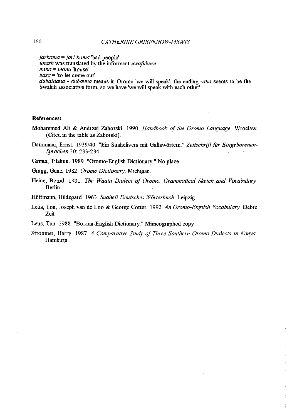*jarhama =jari hama* 'bad people'

*unash* was translated by the informant *uwajukuze* 

*mina* = *mana* 'house'

*basa* = 'to let come out'

*dubaidana* - *dubanna* means in Oromo 'we will speak', the ending *-ana* seems to be the Swahili associative form, so we have 'we will speak with each other'.

#### **References:**

- Mohammed Ali & Andrzej Zaborski 1990. *Handbook of the Oromo Language*. Wroclaw. (Cited in the table as Zaborski).
- Dammann, Ernst. 1939/40. "Ein Suahelivers mit Gallawörtern." Zeitschrift für Eingeborenen-*Sprachen* 30: 233-234

Gamta, Tilahun. 1989. "Oromo-English Dictionary." No place.

Gragg, Gene 1982 *Oromo Dictionary* Michigan.

Heine, Bernd 1981. *The Waata Dialect of Oromo Grammatical Sketch and Vocabulary* Berlin

Hoftmann, Hildegard. 1963.. *Suaheli-Deutsches Worterbuch* Leipzig.

Leus, Ion, Joseph van de Loo & George Cotter. 1992 An Oromo-English Vocabulary. Debre Zeit

Leus, Ton 1988. "Borana-English Dictionary." Mimeographed copy.

Stroomer, Harry. 1987 *A Comparative Study of Three Southern Oromo Dialects in Kenya.* Hamburg.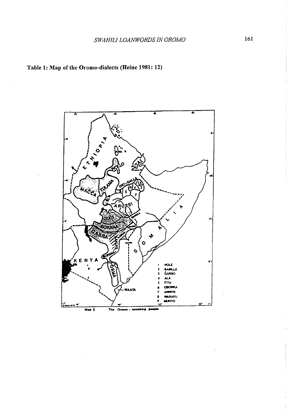# Table 1: Map of the Oromo-dialects (Heine 1981: 12)

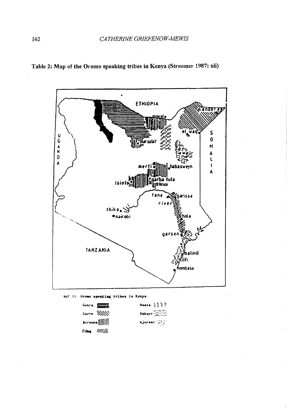

Table 2: Map of the Oromo speaking tribes in Kenya (Stroomer 1987: xii)



| $G_{\text{ab}}$ ra $\frac{1}{2\sqrt{2}}$ | Waata 1555              |
|------------------------------------------|-------------------------|
| Carre XXXV                               | Sakuye $\frac{1}{1000}$ |
| Borems[[      ]                          | Ajursan (2020)          |
| $0$ Deg $1111/14$                        |                         |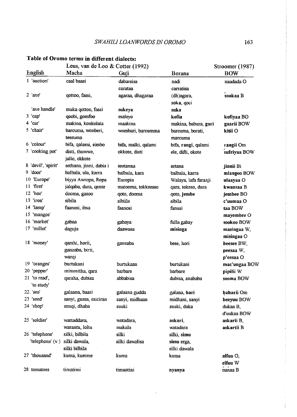### *SWAHILI LOANWORDS IN OROMO* 163

## Leus, van de Loo & Cotter (1992) Stroomer (1987) English Macha Guji Borana BOW 1 'auction' caal baasi dabarsisa nadi naadadaO catataa carratisa 2 'axe' qottoo, fassi, agaraa, dhagaraa (dh)agara, sookaa B soka, qoci 'axe handle' muka qottoo, fassi sukeya suka <sup>3</sup>'cap' qoobi, gomfoo maleyo kofia kofiyaaBO <sup>4</sup>'car' makina, konkolata maakina makina, babura, gari gaariiBOW 5 'chair' batcuma, wonberi, wombari, batcumma batcuma, borati, kitii <sup>0</sup> teesuma matcuma 6 'colour' bifa, qalami, simbo bifa, malki, qalami bifa, rangi, qalami rangii Om 7. 'cooking pot' disti, thuwwe, bokkote, disti ele, difti, okote sufriyaa BOW jallo, okkote 8. 'devil', 'spirit' sethana, jinni, dabis i seetanna setana setana jinnii Bi 9 'door' balbala, ula, katra balbala, kata balbala, katra mlangooBOW <sup>10</sup>'Europe' biyya A wropa, Ropa Europia Walaya, lafa faranji ulaayaa <sup>0</sup> <sup>11</sup>'first' jalqaba, dura, qente matooma, tokkeesso qata, tokeso, dum kwansaaB <sup>12</sup>'hoe' dooma, gasoo qoto, dooma qoto,jembe jembeeBO 13 'iron' sibila sibiila sibila **c'uumaaO**  14 'lamp' faaoosi, ibsa faaoosi fanusi taaBOW <sup>15</sup>'mangos' mayembeeO 16. 'matket' gabaa gabaya fullagabay sookooBOW 17 'millet' daguja daawusa **misinga** masingaa W, misingaa 0 18 'money' qatshi, horii, ganzaba bese, hori beeseeBW, ganzaba, birii, peesaa W, warqi p'eesaa O <sup>19</sup>'oranges' burtukaoi burtukaan burtukani mac'ungaa BOW <sup>20</sup>'pepper' mimmitha, qata batbate batbate pipilii <sup>w</sup> 21 'to read', qaraha, dubisa abbabisa abbabisa dubisa, anababa sooma BOW 'to study' 22. 'sea' galaana, baari galaana gudda galama, bari baharii Om 23 'seed' sanyi, guma, miciran sanyi, midhaan midhani, sanyi beeyuu BOW 24 'shop' suuqi, dhaba suuki suuki, duka dukaaB, d'uukaaBOW 25 'soldier' wattaddara, wotadara, **askari,** askarii B, Waiantu, loltu makala watadata askartii B 26 'telephone' silki, bilbila silki silki silki, simu 'telephone' (v) silki dawala, silki dawalisa simu erga, silki bilbila silki dawala 27 'thousand' kuma,kumme kuma kuma alfuu 0, elfuu W 28 tomatoes timatimi timaatini timaatini ny**anya** nanaa B

### Table of Oromo terms in different dialects: